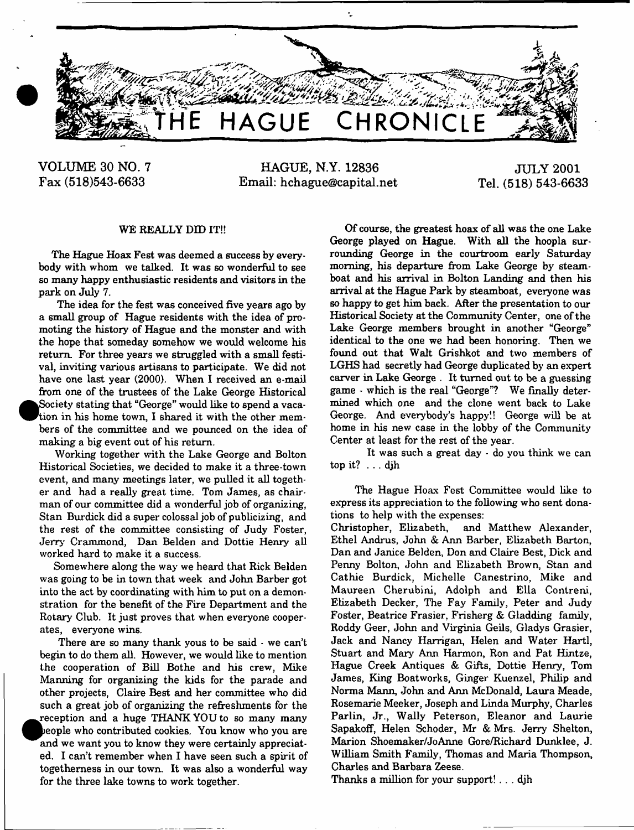

**VOLUME 30 NO. 7 Fax (518)543-6633**

**HAGUE, N.Y. 12836 Email: [hchague@capital.net](mailto:hchague@capital.net)**

**JULY 2001 Tel. (518) 543-6633**

#### WE REALLY DID IT!!

The Hague Hoax Fest was deemed a success by everybody with whom we talked. It was so wonderful to see so many happy enthusiastic residents and visitors in the park on July 7.

The idea for the fest was conceived five years ago by a small group of Hague residents with the idea of promoting the history of Hague and the monster and with the hope that someday somehow we would welcome his return. For three years we struggled with a small festival, inviting various artisans to participate. We did not have one last year (2000). When I received an e-mail from one of the trustees of the Lake George Historical  $\bullet$ Society stating that "George" would like to spend a vacation in his home town, I shared it with the other members of the committee and we pounced on the idea of making a big event out of his return.

Working together with the Lake George and Bolton Historical Societies, we decided to make it a three-town event, and many meetings later, we pulled it all together and had a really great time. Tom James, as chairman of our committee did a wonderful job of organizing, Stan Burdick did a super colossal job of publicizing, and the rest of the committee consisting of Judy Foster, Jerry Crammond, Dan Belden and Dottie Henry all worked hard to make it a success.

Somewhere along the way we heard that Rick Belden was going to be in town that week and John Barber got into the act by coordinating with him to put on a demonstration for the benefit of the Fire Department and the Rotary Club. It just proves that when everyone cooperates, everyone wins.

There are so many thank yous to be said - we can't begin to do them all. However, we would like to mention the cooperation of Bill Bothe and his crew, Mike Manning for organizing the kids for the parade and other projects, Claire Best and her committee who did such a great job of organizing the refreshments for the  $\bullet$ reception and a huge THANK YOU to so many many people who contributed cookies. You know who you are and we want you to know they were certainly appreciated. I can't remember when I have seen such a spirit of togetherness in our town. It was also a wonderful way for the three lake towns to work together.

Of course, the greatest hoax of all was the one Lake George played on Hague. With all the hoopla surrounding George in the courtroom early Saturday morning, his departure from Lake George by steamboat and his arrival in Bolton Landing and then his arrival at the Hague Park by steamboat, everyone was so happy to get him back. After the presentation to our Historical Society at the Community Center, one of the Lake George members brought in another "George" identical to the one we had been honoring. Then we found out that Walt Grishkot and two members of LGHS had secretly had George duplicated by an expert carver in Lake George . It turned out to be a guessing game - which is the real "George"? We finally determined which one and the clone went back to Lake George. And everybody's happy!! George will be at home in his new case in the lobby of the Community Center at least for the rest of the year.

It was such a great day - do you think we can top it? . . . djh

The Hague Hoax Fest Committee would like to express its appreciation to the following who sent donations to help with the expenses:

Christopher, Elizabeth, and Matthew Alexander, Ethel Andrus, John & Ann Barber, Elizabeth Barton, Dan and Janice Belden, Don and Claire Best, Dick and Penny Bolton, John and Elizabeth Brown, Stan and Cathie Burdick, Michelle Canestrino, Mike and Maureen Cherubini, Adolph and Ella Contreni, Elizabeth Decker, The Fay Family, Peter and Judy Foster, Beatrice Frasier, Frisherg & Gladding family, Roddy Geer, John and Virginia Geils, Gladys Grasier, Jack and Nancy Harrigan, Helen and Water Hartl, Stuart and Mary Ann Harmon, Ron and Pat Hintze, Hague Creek Antiques & Gifts, Dottie Henry, Tom James, King Boatworks, Ginger Kuenzel, Philip and Norma Mann, John and Ann McDonald, Laura Meade, Rosemarie Meeker, Joseph and Linda Murphy, Charles Parlin, Jr., Wally Peterson, Eleanor and Laurie Sapakoff, Helen Schoder, Mr & Mrs. Jerry Shelton, Marion Shoemaker/JoAnne Gore/Richard Dunklee, J. William Smith Family, Thomas and Maria Thompson, Charles and Barbara Zeese.

Thanks a million for your support! . . . djh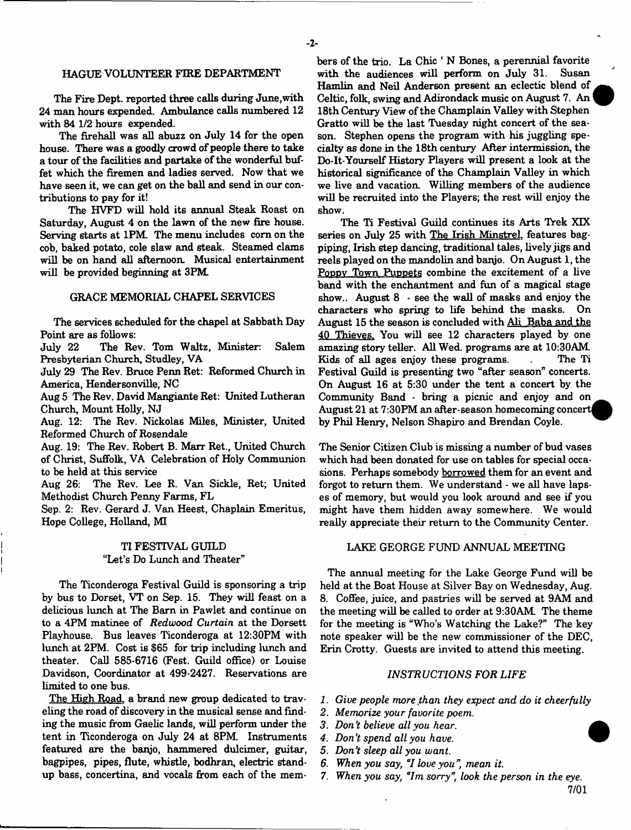#### HAGUE VOLUNTEER FIRE DEPARTMENT

The Fire Dept, reported three calls during June,with 24 man hours expended. Ambulance calls numbered 12 with 84 1/2 hours expended.

The firehall was all abuzz on July 14 for the open house. There was a goodly crowd of people there to take a tour of the facilities and partake of the wonderful buffet which the firemen and ladies served. Now that we have seen it, we can get on the ball and send in our contributions to pay for it!

The HVFD will hold its annual Steak Roast on Saturday, August 4 on the lawn of the new fire house. Serving starts at 1PM. The menu includes com on the cob, baked potato, cole slaw and steak. Steamed clams will be on hand all afternoon. Musical entertainment will be provided beginning at 3PM

#### GRACE MEMORIAL CHAPEL SERVICES

The services scheduled for the chapel at Sabbath Day Point are as follows:

July 22 The Rev. Tom Waltz, Minister: Salem Presbyterian Church, Studley, VA

July 29 The Rev. Bruce Penn Ret: Reformed Church in America, Hendersonville, NC

Aug 5 The Rev. David Mangiante Ret: United Lutheran Church, Mount Holly, NJ

Aug. 12: The Rev. Nickolas Miles, Minister, United Reformed Church of Rosendale

Aug. 19: The Rev. Robert B. Marr Ret., United Church of Christ, Suffolk, VA Celebration of Holy Communion to be held at this service

Aug 26: The Rev. Lee R. Van Sickle, Ret; United Methodist Church Penny Farms, FL

Sep. 2: Rev. Gerard J. Van Heest, Chaplain Emeritus, Hope College, Holland, MI

#### TI FESTIVAL GUILD "Let's Do Lunch and Theater"

The Ticonderoga Festival Guild is sponsoring a trip by bus to Dorset, VT on Sep. 15. They will feast on a delicious lunch at The Bam in Pawlet and continue on to a 4PM matinee of *Redwood Curtain* at the Dorsett Playhouse. Bus leaves Ticonderoga at 12:30PM with lunch at 2PM. Cost is \$65 for trip including lunch and theater. Call 585-6716 (Fest. Guild office) or Louise Davidson, Coordinator at 499-2427. Reservations are limited to one bus.

The High Road, a brand new group dedicated to traveling the road of discovery in the musical sense and finding the music from Gaelic lands, will perform under the tent in Ticonderoga on July 24 at 8PM. Instruments featured are the banjo, hammered dulcimer, guitar, bagpipes, pipes, flute, whistle, bodhran, electric standup bass, concertina, and vocals from each of the members of the trio. La Chic ' N Bones, a perennial favorite with the audiences will perform on July 31. Susan Hamlin and Neil Anderson present an eclectic blend of Celtic, folk, swing and Adirondack music on August 7. An 18th Century View of the Champlain Valley with Stephen Gratto will be the last Tuesday night concert of the season. Stephen opens the program with his juggling specialty as done in the 18th century After intermission, the Do-It-Yourself History Players will present a look at the historical significance of the Champlain Valley in which we live and vacation. Willing members of the audience will be recruited into the Players; the rest will enjoy the show.

The Ti Festival Guild continues its Arts Trek XIX series on July 25 with The Irish Minstrel, features bagpiping, Irish step dancing, traditional tales, lively jigs and reels played on the mandolin and banjo. On August 1, the Poppy Town Puppets combine the excitement of a live band with the enchantment and fun of a magical stage show.. August  $8$   $\cdot$  see the wall of masks and enjoy the characters who spring to life behind the masks. On August 15 the season is concluded with Ali Baba and the 40 Thieves. You will see 12 characters played by one amazing story teller. All Wed. programs are at 10:30AM Kids of all ages enjoy these programs. The Ti Festival Guild is presenting two "after season" concerts. On August 16 at 5:30 under the tent a concert by the Community Band - bring a picnic and enjoy and on^\_ August 21 at 7:30PM an after-season homecoming concert by Phil Henry, Nelson Shapiro and Brendan Coyle.

The Senior Citizen Club is missing a number of bud vases which had been donated for use on tables for special occasions. Perhaps somebody borrowed them for an event and forgot to return them. We understand - we all have lapses of memory, but would you look around and see if you might have them hidden away somewhere. We would really appreciate their return to the Community Center.

#### LAKE GEORGE FUND ANNUAL MEETING

The annual meeting for the Lake George Fund will be held at the Boat House at Silver Bay on Wednesday, Aug. 8. Coffee, juice, and pastries will be served at 9AM and the meeting will be called to order at 9:30AM The theme for the meeting is "Who's Watching the Lake?" The key note speaker will be the new commissioner of the DEC, Erin Crotty. Guests are invited to attend this meeting.

#### *INSTRUCTIONS FOR LIFE*

- *1. Give people more,than they expect and do it cheerfully*
- *2. Memorize your favorite poem.*
- *3. Don't believe all you hear.*
- *4. Don't spend all you have.*
- 5. *Don't sleep all you want.*
- *6. When you say*, "/ *love you " mean it.*
- 7. When you say, "Im sorry", look the person in the eye.

7/01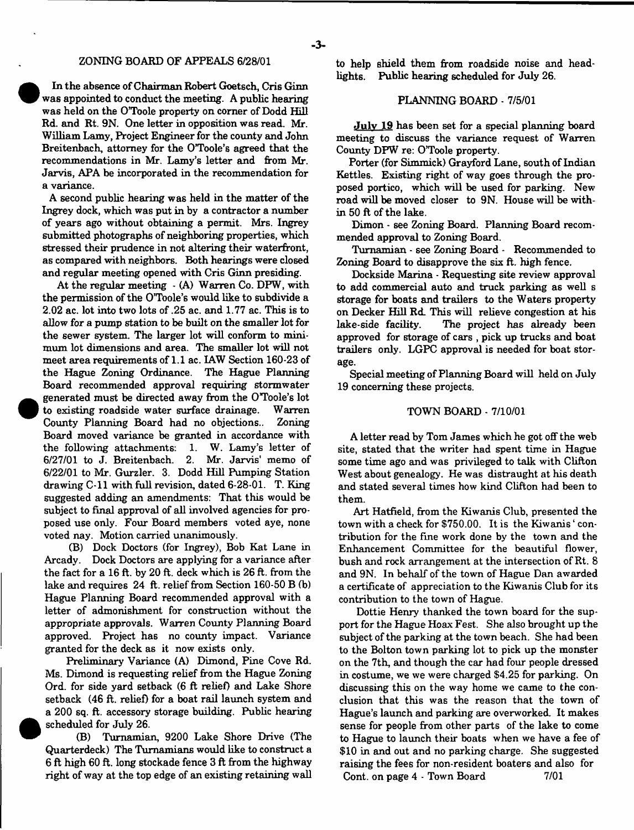In the absence of Chairman Robert Goetsch, Cris Ginn was appointed to conduct the meeting. A public hearing was held on the OToole property on corner of Dodd Hill Rd. and Rt. 9N. One letter in opposition was read. Mr. William Lamy, Project Engineer for the county and John Breitenbach, attorney for the O'Toole's agreed that the recommendations in Mr. Lamy's letter and from Mr. Jarvis, APA be incorporated in the recommendation for a variance.

A second public hearing was held in the matter of the Ingrey dock, which was put in by a contractor a number of years ago without obtaining a permit. Mrs. Ingrey submitted photographs of neighboring properties, which stressed their prudence in not altering their waterfront, as compared with neighbors. Both hearings were closed and regular meeting opened with Cris Ginn presiding.

At the regular meeting - (A) Warren Co. DPW, with the permission of the O'Toole's would like to subdivide a 2.02 ac. lot into two lots of .25 ac. and 1.77 ac. This is to allow for a pump station to be built on the smaller lot for the sewer system. The larger lot will conform to minimum lot dimensions and area. The smaller lot will not meet area requirements of 1.1 ac. LAW Section 160-23 of the Hague Zoning Ordinance. The Hague Planning Board recommended approval requiring stormwater generated must be directed away from the O'Toole's lot to existing roadside water surface drainage. Warren County Planning Board had no objections.. Zoning Board moved variance be granted in accordance with the following attachments: 1. W. Lamy's letter of 6/27/01 to J. Breitenbach. 2. Mr. Jarvis' memo of 6/22/01 to Mr. Gurzler. 3. Dodd Hill Pumping Station drawing C -ll with full revision, dated 6-28-01. T. King suggested adding an amendments: That this would be subject to final approval of all involved agencies for proposed use only. Four Board members voted aye, none voted nay. Motion carried unanimously.

(B) Dock Doctors (for Ingrey), Bob Kat Lane in Arcady. Dock Doctors are applying for a variance after the fact for a 16 ft. by 20 ft. deck which is 26 ft. from the lake and requires 24 ft. relief from Section 160-50 B (b) Hague Planning Board recommended approval with a letter of admonishment for construction without the appropriate approvals. Warren County Planning Board approved. Project has no county impact. Variance granted for the deck as it now exists only.

Preliminary Variance (A) Dimond, Pine Cove Rd. Ms. Dimond is requesting relief from the Hague Zoning Ord. for side yard setback (6 ft relief) and Lake Shore setback (46 ft. relief) for a boat rail launch system and a 200 sq. ft. accessory storage building. Public hearing scheduled for July 26.

(B) Tumamian, 9200 Lake Shore Drive (The Quarterdeck) The Tumamians would like to construct a 6 ft high 60 ft. long stockade fence 3 ft from the highway right of way at the top edge of an existing retaining wall to help shield them from roadside noise and headlights. Public hearing scheduled for July 26.

#### PLANNING BOARD - 7/5/01

July 19 has been set for a special planning board meeting to discuss the variance request of Warren County DFW re: O'Toole property.

Porter (for Simmick) Grayford Lane, south of Indian Kettles. Existing right of way goes through the proposed portico, which will be used for parking. New road will be moved closer to 9N. House will be within 50 ft of the lake.

Dimon - see Zoning Board. Planning Board recommended approval to Zoning Board.

**Tum a m ia n** - see Zoning Board - Recommended to Zoning Board to disapprove the six ft. high fence.

Dockside Marina - Requesting site review approval to add commercial auto and truck parking as well s storage for boats and trailers to the Waters property on Decker Hill Rd. This will relieve congestion at his lake-side facility. The project has already been The project has already been approved for storage of cars , pick up trucks and boat trailers only. LGPC approval is needed for boat storage.

Special meeting of Planning Board will held on July 19 concerning these projects.

#### TOWN BOARD - 7/10/01

A letter read by Tom James which he got off the web site, stated that the writer had spent time in Hague some time ago and was privileged to talk with Clifton West about genealogy. He was distraught at his death and stated several times how kind Clifton had been to them.

Art Hatfield, from the Kiwanis Club, presented the town with a check for \$750.00. It is the Kiwanis ' contribution for the fine work done by the town and the Enhancement Committee for the beautiful flower, bush and rock arrangement at the intersection of Rt. 8 and 9N. In behalf of the town of Hague Dan awarded a certificate of appreciation to the Kiwanis Club for its contribution to the town of Hague.

Dottie Henry thanked the town board for the support for the Hague Hoax Fest. She also brought up the subject of the parking at the town beach. She had been to the Bolton town parking lot to pick up the monster on the 7th, and though the car had four people dressed in costume, we we were charged \$4.25 for parking. On discussing this on the way home we came to the conclusion that this was the reason that the town of Hague's launch and parking are overworked. It makes sense for people from other parts of the lake to come to Hague to launch their boats when we have a fee of \$10 in and out and no parking charge. She suggested raising the fees for non-resident boaters and also for Cont. on page 4 - Town Board 7/01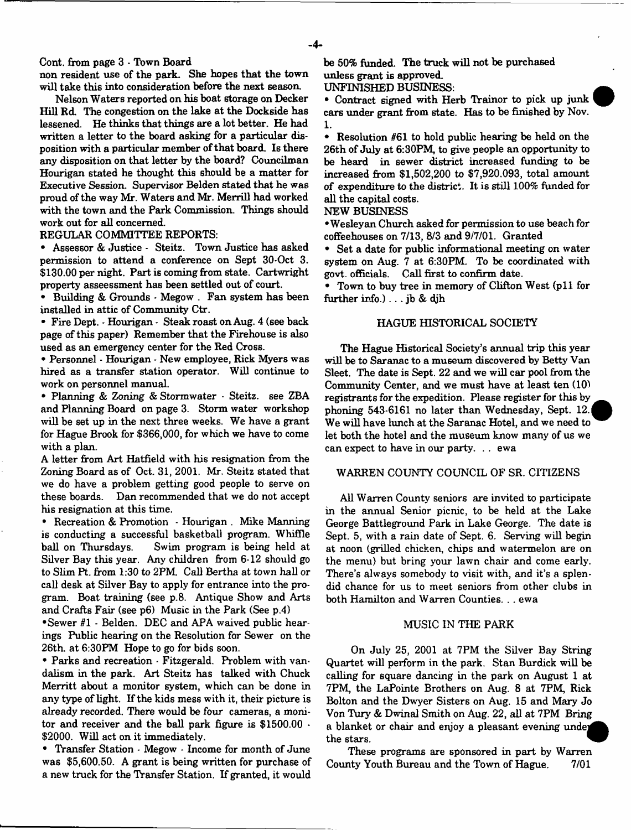Cont. from page 3 - Town Board

non resident use of the park. She hopes that the town will take this into consideration before the next season.

Nelson Waters reported on his boat storage on Decker Hill Rd. The congestion on the lake at the Dockside has lessened. He thinks that things are a lot better. He had written a letter to the board asking for a particular disposition with a particular member of that board. Is there any disposition on that letter by the board? Councilman Hourigan stated he thought this should be a matter for Executive Session. Supervisor Belden stated that he was proud of the way Mr. Waters and Mr. Merrill had worked with the town and the Park Commission. Things should work out for all concerned.

#### REGULAR COMMITTEE REPORTS:

• Assessor & Justice - Steitz. Town Justice has asked permission to attend a conference on Sept 30-Oct 3. \$130.00 per night. Part is coming from state. Cartwright property asseessment has been settled out of court.

• Building & Grounds \* Megow . Fan system has been installed in attic of Community Ctr.

• Fire Dept. - Hourigan - Steak roast on Aug. 4 (see back page of this paper) Remember that the Firehouse is also used as an emergency center for the Red Cross.

• Personnel - Hourigan - New employee, Rick Myers was hired as a transfer station operator. Will continue to work on personnel manual.

• Planning & Zoning & Storm water - Steitz. see ZBA and Planning Board on page 3. Storm water workshop will be set up in the next three weeks. We have a grant for Hague Brook for \$366,000, for which we have to come with a plan.

A letter from Art Hatfield with his resignation from the Zoning Board as of Oct. 31, 2001. Mr. Steitz stated that we do have a problem getting good people to serve on these boards. Dan recommended that we do not accept his resignation at this time.

• Recreation & Promotion - Hourigan . Mike Manning is conducting a successful basketball program. Whiffle ball on Thursdays. Swim program is being held at Silver Bay this year. Any children from 6-12 should go to Slim Pt. from 1:30 to 2PM Call Bertha at town hall or call desk at Silver Bay to apply for entrance into the program. Boat training (see p.8. Antique Show and Arts and Crafts Fair (see p6) Music in the Park (See p.4)

•Sewer *ftl* - Belden. DEC and APA waived public hearings Public hearing on the Resolution for Sewer on the 26th. at 6:30PM Hope to go for bids soon.

• Parks and recreation - Fitzgerald. Problem with vandalism in the park. Art Steitz has talked with Chuck Merritt about a monitor system, which can be done in any type of light. If the kids mess with it, their picture is already recorded. There would be four cameras, a monitor and receiver and the ball park figure is \$1500.00 - \$2000. Will act on it immediately.

• Transfer Station - Megow - Income for month of June was \$5,600.50. A grant is being written for purchase of a new truck for the Transfer Station. If granted, it would be 50% funded. The truck will not be purchased unless grant is approved.

UNFINISHED BUSINESS:

• Contract signed with Herb Trainor to pick up junk cars under grant from state. Has to be finished by Nov. **1.**

• Resolution #61 to hold public hearing be held on the 26th of July at 6:30PM, to give people an opportunity to be heard in sewer district increased funding to be increased from \$1,502,200 to \$7,920,093, total amount of expenditure to the district. It is still 100% funded for all the capital costs.

#### NEW BUSINESS

•Wesleyan Church asked for permission to use beach for coffeehouses on 7/13, 8/3 and 9/7/01. Granted

• Set a date for public informational meeting on water system on Aug. 7 at 6:30PM. To be coordinated with govt, officials. Call first to confirm date.

• Town to buy tree in memory of Clifton West (p11 for further info.). .. jb & djh

#### HAGUE HISTORICAL SOCIETY

The Hague Historical Society's annual trip this year will be to Saranac to a museum discovered by Betty Van Sleet. The date is Sept. 22 and we will car pool from the Community Center, and we must have at least ten (10) registrants for the expedition. Please register for this by phoning 543-6161 no later than Wednesday, Sept. 12.| We will have lunch at the Saranac Hotel, and we need to let both the hotel and the museum know many of us we can expect to have in our party. . . ewa

#### WARREN COUNTY COUNCIL OF SR. CITIZENS

All Warren County seniors are invited to participate in the annual Senior picnic, to be held at the Lake George Battleground Park in Lake George. The date is Sept. 5, with a rain date of Sept. 6. Serving will begin at noon (grilled chicken, chips and watermelon are on the menu) but bring your lawn chair and come early. There's always somebody to visit with, and it's a splendid chance for us to meet seniors from other clubs in both Hamilton and Warren Counties. . . ewa

#### MUSIC IN THE PARK

On July 25, 2001 at 7PM the Silver Bay String Quartet will perform in the park. Stan Burdick will be calling for square dancing in the park on August 1 at 7PM, the LaPointe Brothers on Aug. 8 at 7PM, Rick Bolton and the Dwyer Sisters on Aug. 15 and Mary Jo Von Tury & Dwinal Smith on Aug. 22, all at 7PM Bring a blanket or chair and enjoy a pleasant evening undej the stars.

These programs are sponsored in part by Warren County Youth Bureau and the Town of Hague. 7/01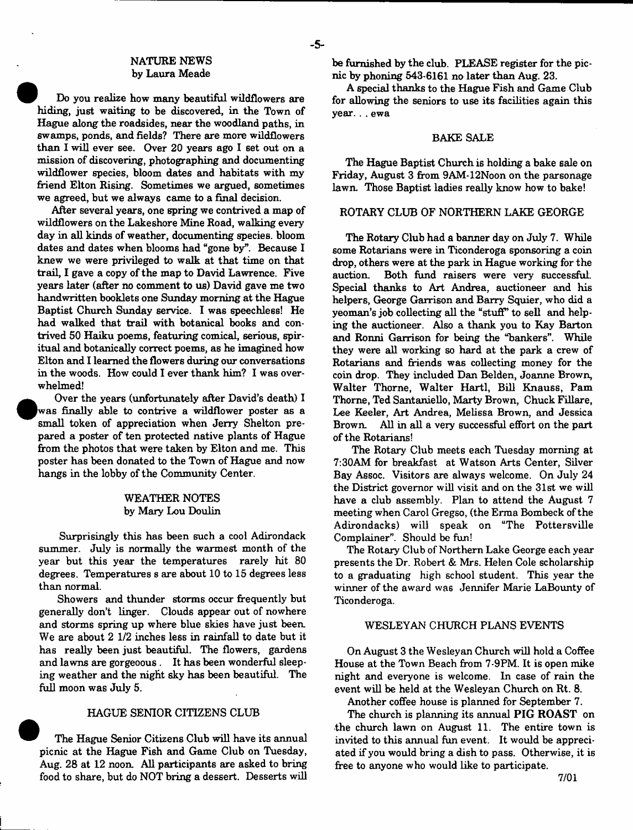#### NATURE NEWS by Laura Meade

- 5-

Do you realize how many beautiful wildflowers are hiding, just waiting to be discovered, in the Town of Hague along the roadsides, near the woodland paths, in swamps, ponds, and fields? There are more wildflowers than I will ever see. Over 20 years ago I set out on a mission of discovering, photographing and documenting wildflower species, bloom dates and habitats with my friend Elton Rising. Sometimes we argued, sometimes we agreed, but we always came to a final decision.

After several years, one spring we contrived a map of wildflowers on the Lakeshore Mine Road, walking every day in all kinds of weather, documenting species, bloom dates and dates when blooms had "gone by". Because I knew we were privileged to walk at that time on that trail, I gave a copy of the map to David Lawrence. Five years later (after no comment to us) David gave me two handwritten booklets one Sunday morning at the Hague Baptist Church Sunday service. I was speechless! He had walked that trail with botanical books and contrived 50 Haiku poems, featuring comical, serious, spiritual and botanically correct poems, as he imagined how Elton and I learned the flowers during our conversations in the woods. How could I ever thank him? I was overwhelmed!

Over the years (unfortunately after David's death) I was finally able to contrive a wildflower poster as a small token of appreciation when Jerry Shelton prepared a poster of ten protected native plants of Hague from the photos that were taken by Elton and me. This poster has been donated to the Town of Hague and now hangs in the lobby of the Community Center.

#### WEATHER NOTES by Mary Lou Doulin

Surprisingly this has been such a cool Adirondack summer. July is normally the warmest month of the year but this year the temperatures rarely hit 80 degrees. Temperatures s are about 10 to 15 degrees less than normal.

Showers and thunder storms occur frequently but generally don't linger. Clouds appear out of nowhere and storms spring up where blue skies have just been. We are about 2 1/2 inches less in rainfall to date but it has really been just beautiful. The flowers, gardens and lawns are gorgeoous . It has been wonderful sleeping weather and the night sky has been beautiful. The full moon was July 5.

#### HAGUE SENIOR CITIZENS CLUB

The Hague Senior Citizens Club will have its annual picnic at the Hague Fish and Game Club on Tuesday, Aug. 28 at 12 noon. All participants are asked to bring food to share, but do NOT bring a dessert. Desserts will be furnished by the club. PLEASE register for the picnic by phoning 543-6161 no later than Aug. 23.

A special thanks to the Hague Fish and Game Club for allowing the seniors to use its facilities again this year. . . ewa

#### BAKE SALE

The Hague Baptist Church is holding a bake sale on Friday, August 3 from 9AM-12Noon on the parsonage lawn. Those Baptist ladies really know how to bake!

#### ROTARY CLUB OF NORTHERN LAKE GEORGE

The Rotary Club had a banner day on July 7. While some Rotarians were in Ticonderoga sponsoring a coin drop, others were at the park in Hague working for the auction. Both fund raisers were very successful. Special thanks to Art Andrea, auctioneer and his helpers, George Garrison and Barry Squier, who did a yeoman's job collecting all the "stuff" to sell and helping the auctioneer. Also a thank you to Kay Barton and Ronni Garrison for being the "bankers". While they were all working so hard at the park a crew of Rotarians and friends was collecting money for the coin drop. They included Dan Belden, Joanne Brown, Walter Thorne, Walter Hartl, Bill Knauss, Pam Thorne, Ted Santaniello, Marty Brown, Chuck Fillare, Lee Keeler, Art Andrea, Melissa Brown, and Jessica All in all a very successful effort on the part of the Rotarians!

The Rotary Club meets each Tuesday morning at 7:30AM for breakfast at Watson Arts Center, Silver Bay Assoc. Visitors are always welcome. On July 24 the District governor will visit and on the 31st we will have a club assembly. Plan to attend the August 7 meeting when Carol Gregso, (the Erma Bombeck of the Adirondacks) will speak on "The Pottersville Complainer". Should be fun!

The Rotary Club of Northern Lake George each year presents the Dr. Robert & Mrs. Helen Cole scholarship to a graduating high school student. This year the winner of the award was Jennifer Marie LaBounty of Ticonderoga.

#### WESLEYAN CHURCH PLANS EVENTS

On August 3 the Wesleyan Church will hold a Coffee House at the Town Beach from 7-9PM. It is open mike night and everyone is welcome. In case of rain the event will be held at the Wesleyan Church on Rt. 8.

Another coffee house is planned for September 7.

The church is planning its annual PIG ROAST on the church lawn on August 11. The entire town is invited to this annual fun event. It would be appreciated if you would bring a dish to pass. Otherwise, it is free to anyone who would like to participate.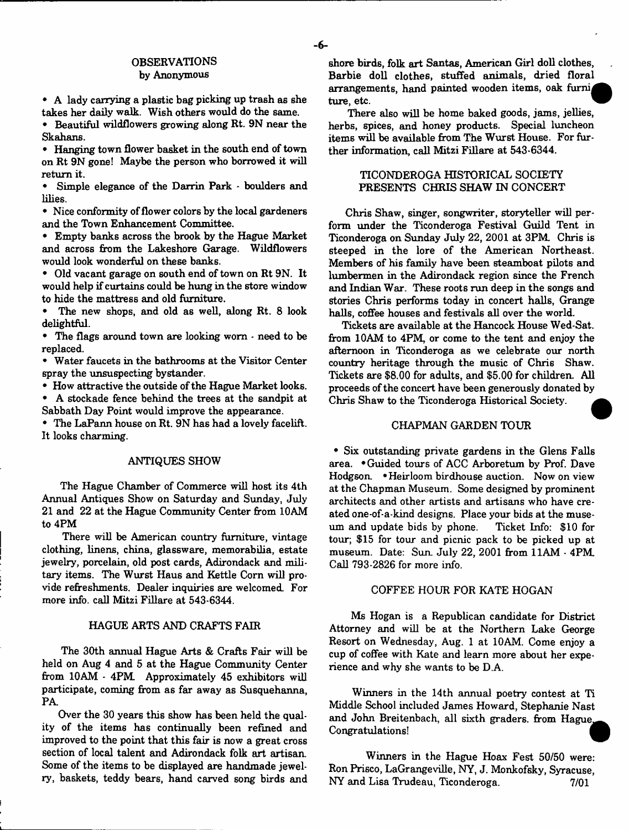## OBSERVATIONS

#### by Anonymous

• A lady carrying a plastic bag picking up trash as she takes her daily walk. Wish others would do the same.

• Beautiful wildflowers growing along Rt. 9N near the Skahans.

• Hanging town flower basket in the south end of town on Rt 9N gone! Maybe the person who borrowed it will return it.

• Simple elegance of the Darrin Park - boulders and lilies.

• Nice conformity of flower colors by the local gardeners and the Town Enhancement Committee.

• Empty banks across the brook by the Hague Market and across from the Lakeshore Garage. Wildflowers would look wonderful on these banks.

• Old vacant garage on south end of town on Rt 9N. It would help if curtains could be hung in the store window to hide the mattress and old furniture.

The new shops, and old as well, along Rt. 8 look delightful.

• The flags around town are looking worn - need to be replaced.

• Water faucets in the bathrooms at the Visitor Center spray the unsuspecting bystander.

• How attractive the outside of the Hague Market looks. • A stockade fence behind the trees at the sandpit at Sabbath Day Point would improve the appearance.

• The LaPann house on Rt. 9N has had a lovely facelift. It looks charming.

#### ANTIQUES SHOW

The Hague Chamber of Commerce will host its 4th Annual Antiques Show on Saturday and Sunday, July 21 and 22 at the Hague Community Center from I0AM to 4PM

There will be American country furniture, vintage clothing, linens, china, glassware, memorabilia, estate jewelry, porcelain, old post cards, Adirondack and military items. The Wurst Haus and Kettle Com will provide refreshments. Dealer inquiries are welcomed. For more info, call Mitzi Fillare at 543-6344.

#### HAGUE ARTS AND CRAFTS FAIR

The 30th annual Hague Arts & Crafts Fair will be held on Aug 4 and 5 at the Hague Community Center from 10AM - 4PM Approximately 45 exhibitors will participate, coming from as far away as Susquehanna, PA

Over the 30 years this show has been held the quality of the items has continually been refined and improved to the point that this fair is now a great cross section of local talent and Adirondack folk art artisan Some of the items to be displayed are handmade jewelry, baskets, teddy bears, hand carved song birds and

shore birds, folk art Santas, American Girl doll clothes, Barbie doll clothes, stuffed animals, dried floral arrangements, hand painted wooden items, oak furnij ture, etc.

There also will be home baked goods, jams, jellies, herbs, spices, and honey products. Special luncheon items will be available from The Wurst House. For further information, call Mitzi Fillare at 543-6344.

#### TICONDEROGA HISTORICAL SOCIETY PRESENTS CHRIS SHAW IN CONCERT

Chris Shaw, singer, songwriter, storyteller will perform under the Ticonderoga Festival Guild Tent in Ticonderoga on Sunday July 22, 2001 at 3PM. Chris is steeped in the lore of the American Northeast. Members of his family have been steamboat pilots and lumbermen in the Adirondack region since the French and Indian War. These roots run deep in the songs and stories Chris performs today in concert halls, Grange halls, coffee houses and festivals all over the world.

Tickets are available at the Hancock House Wed-Sat. from 10AM to 4PM, or come to the tent and enjoy the afternoon in Ticonderoga as we celebrate our north country heritage through the music of Chris Shaw. Tickets are \$8.00 for adults, and \$5.00 for children. All proceeds of the concert have been generously donated by Chris Shaw to the Ticonderoga Historical Society.

#### CHAPMAN GARDEN TOUR

• Six outstanding private gardens in the Glens Falls area. • Guided tours of ACC Arboretum by Prof. Dave Hodgson. •Heirloom birdhouse auction. Now on view at the Chapman Museum. Some designed by prominent architects and other artists and artisans who have created one-of-a-kind designs. Place your bids at the museum and update bids by phone. Ticket Info: \$10 for tour; \$15 for tour and picnic pack to be picked up at museum. Date: Sun. July 22, 2001 from 11AM - 4PM Call 793-2826 for more info.

#### COFFEE HOUR FOR KATE HOGAN

Ms Hogan is a Republican candidate for District Attorney and will be at the Northern Lake George Resort on Wednesday, Aug. 1 at 10AM. Come enjoy a cup of coffee with Kate and learn more about her experience and why she wants to be D.A.

Winners in the 14th annual poetry contest at Ti Middle School included James Howard, Stephanie Nast and John Breitenbach, all sixth graders, from Hague, Congratulations!

Winners in the Hague Hoax Fest 50/50 were: Ron Prisco, LaGrangeville, NY, J. Monkofsky, Syracuse, NY and Lisa Trudeau, Ticonderoga. 7/01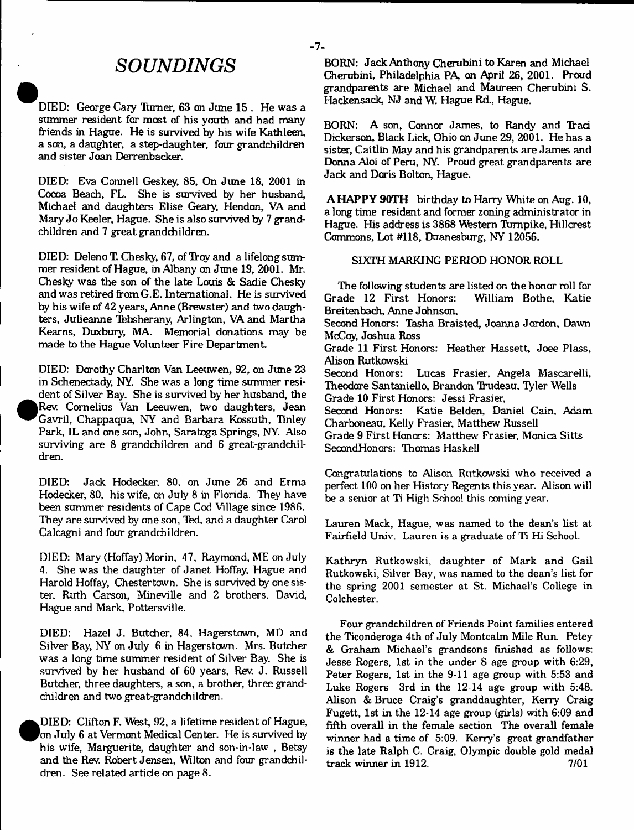# *SOUNDINGS*

DIED: George Cary Turner, 63 on June 15. He was a summer resident far most of his youth and had many friends in Hague. He is survived by his wife Kathleen, a son, a daughter, a step-daughter, four grandchildren and sister Joan Derrenbacker.

DIED: Eva Connell Geskey, 85, On June 18, 2001 in Cocoa Beach, FL. She is survived by her husband, Michael and daughters Elise Geary, Hendon, VA and Mary Jo Keeler, Hague. She is also survived by 7 grandchildren and 7 great grandchildren.

DIED: Deleno T. Chesky, 67, of Troy and a lifelong summer resident of Hague, in Albany on June 19, 2001. Mr. Chesky was the son of the late Louis & Sadie Chesky and was retired from G.E. Intematianal. He is survived by his wife of 42 years, Anne (Brewster) and two daughters, Julieanne Tebsherany, Arlington, VA and Martha Kearns, Duxbury, MA. Memorial donations may be made to the Hague Volunteer Fire Department

DIED: Dorothy Charlton Van Leeuwen, 92, on June 23 in Schenectady, NY. She was a long time summer resident of Silver Bay. She is survived by her husband, the Rev. Cornelius Van Leeuwen, two daughters, Jean Gavril, Chappaqua, NY and Barbara Kossuth, Tinley Park, IL and one son, John, Saratoga Springs, NY. Also surviving are 8 grandchildren and 6 great-grandchildren.

•

DIED: Jack Hodecker, 80, on June 26 and Erma Hodecker, 80, his wife, on July 8 in Florida. They have been summer residents of Cape Cod Milage since 1986. They are survived by one son, Ted, and a daughter Carol Calcagni and four grandchildren.

DIED: Mary (Hoffay) Morin, 47, Raymond, ME on July 4. She was the daughter of Janet Hoffay. Hague and Harold Hoffay, Chestertown. She is survived by one sister, Ruth Carson, Mineville and 2 brothers. David, Hague and Mark, Pottersviile.

DIED: Hazel J. Butcher, 84, Hagerstown, MD and Silver Bay, NY on July 6 in Hagerstown. Mrs. Butcher was a long time summer resident of Silver Bay. She is survived by her husband of 60 years. Rev. J. Russell Butcher, three daughters, a son, a brother, three grandchildren and two great-grandchildren.

 $\bullet$ DIED: Clifton F. West, 92, a lifetime resident of Hague, on July 6 at Vermont Medical Center. He is survived by his wife, Marguerite, daughter and son-in-law , Betsy and the Rev. Robert Jensen, Wilton and four grandchildren. See related article on page 8.

BORN: Jack Anthony Cherubini to Karen and Michael Cherubini, Philadelphia PA, on April 26, 2001. Proud grandparents are Michael and Maureen Cherubini S. Hackensack, NJ and W. Hague Rd., Hague.

BORN: A son, Connor James, to Randy and Traci Dickerson, Black Lick, Ohio on June 29, 2001. He has a sister, Caitlin May and his grandparents are James and Donna Aloi of Peru, NY. Proud great grandparents are Jack and Doris Bolton, Hague.

A HAPPY 90TH birthday to Harry White on Aug. 10, a long time resident and former zoning administrator in Hague. His address is 3868 Western Turnpike, Hillcrest Commons, Lot #118, Duanesburg, NY 12056.

#### SIXTH MARKING PERIOD HONOR ROLL

The following students are listed on the honor roll for<br>ade 12 First Honors: William Bothe, Katie Grade 12 First Honors: Breitenbach, Anne Johnson, Second Honors: Tasha Braisted, Joanna Jordon. Dawn McCoy, Joshua Ross Grade 11 First Honors: Heather Hassett, Joee Plass, Alison Rutkowski Second Honors: Lucas Frasier, Angela Mascarelli, Theodore Santaniello, Brandon Trudeau, Tyler Wells Grade 10 First Honors: Jessi Frasier, Second Honors: Katie Belden, Daniel Cain. Adam Charboneau, Kelly Frasier, Matthew Russell Grade 9 First Honors: Matthew Frasier. Monica Sitts SecondHonors: Thomas Haskell

Congratulations to Aliscn Rutkowski who received a perfect 100 on her History Regents this year. Alison will be a senior at Ti High School this coming year.

Lauren Mack, Hague, was named to the dean's list at Fairfield Univ. Lauren is a graduate of Ti Hi School.

Kathryn Rutkowski, daughter of Mark and Gail Rutkowski, Silver Bay, was named to the dean's list for the spring 2001 semester at St. Michael's College in Colchester.

Four grandchildren of Friends Point families entered the Ticonderoga 4th of July Montcalm Mile Run. Petey & Graham Michael's grandsons finished as follows: Jesse Rogers, 1st in the under 8 age group with 6:29, Peter Rogers, 1st in the 9-11 age group with 5:53 and Luke Rogers 3rd in the 12-14 age group with 5:48. Alison & Bruce Craig's granddaughter, Kerry Craig Fugett, 1st in the 12-14 age group (girls) with 6:09 and fifth overall in the female section The overall female winner had a time of 5:09. Kerry's great grandfather is the late Ralph C. Craig, Olympic double gold medal track winner in 1912. 7/01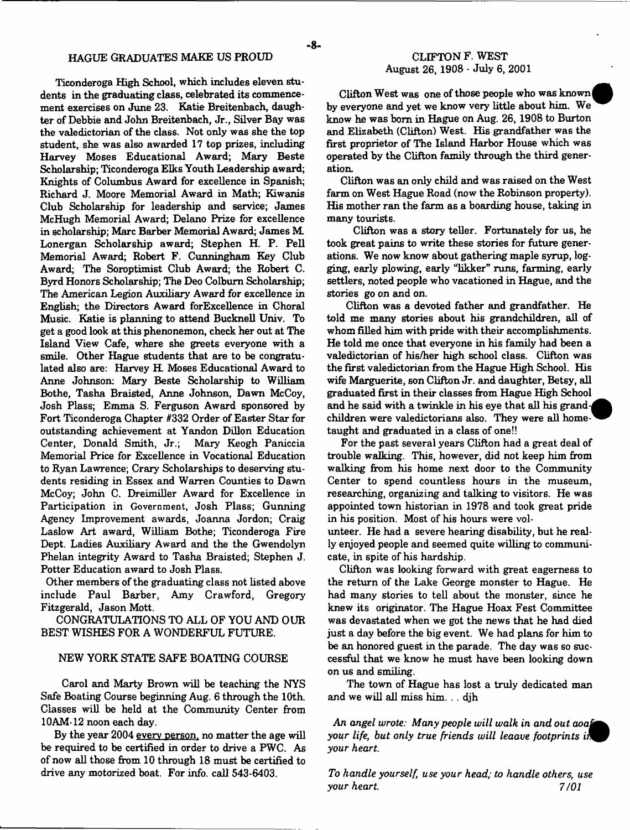Ticonderoga High School, which includes eleven students in the graduating class, celebrated its commencement exercises on June 23. Katie Breitenbach, daughter of Debbie and John Breitenbach, Jr., Silver Bay was the valedictorian of the class. Not only was she the top student, she was also awarded 17 top prizes, including Harvey Moses Educational Award; Mary Beste Scholarship; Ticonderoga Elks Youth Leadership award; Knights of Columbus Award for excellence in Spanish; Richard J. Moore Memorial Award in Math; Kiwanis Club Scholarship for leadership and service; James McHugh Memorial Award; Delano Prize for excellence in scholarship; Marc Barber Memorial Award; James M Lonergan Scholarship award; Stephen H. P. Pell Memorial Award; Robert F. Cunningham Key Club Award; The Soroptimist Club Award; the Robert C. Byrd Honors Scholarship; The Deo Colburn Scholarship; The American Legion Auxiliary Award for excellence in English; the Directors Award forExcellence in Choral Music. Katie is planning to attend Bucknell Univ. To get a good look at this phenonemon, check her out at The Island View Cafe, where she greets everyone with a smile. Other Hague students that are to be congratulated also are: Harvey H. Moses Educational Award to Anne Johnson: Mary Beste Scholarship to William Bothe, Tasha Braisted, Anne Johnson, Dawn McCoy, Josh Plass; Emma S. Ferguson Award sponsored by Fort Ticonderoga Chapter #332 Order of Easter Star for outstanding achievement at Yandon Dillon Education Center, Donald Smith, Jr.; Mary Keogh Paniccia Memorial Price for Excellence in Vocational Education to Ryan Lawrence; Crary Scholarships to deserving students residing in Essex and Warren Counties to Dawn McCoy; John C. Dreimiller Award for Excellence in Participation in Government, Josh Plass; Gunning Agency Improvement awards, Joanna Jordon; Craig Laslow Art award, William Bothe; Ticonderoga Fire Dept. Ladies Auxiliary Award and the the Gwendolyn Phelan integrity Award to Tasha Braisted; Stephen J. Potter Education award to Josh Plass.

Other members of the graduating class not listed above include Paul Barber, Amy Crawford, Gregory Fitzgerald, Jason Mott.

CONGRATULATIONS TO ALL OF YOU AND OUR BEST WISHES FOR A WONDERFUL FUTURE.

#### NEW YORK STATE SAFE BOATING COURSE

Carol and Marty Brown will be teaching the NYS Safe Boating Course beginning Aug. 6 through the 10th. Classes will be held at the Community Center from 10AM-12 noon each day.

By the year 2004 every person, no matter the age will be required to be certified in order to drive a PWC. As of now all those from 10 through 18 must be certified to drive any motorized boat. For info. call 543-6403.

Clifton West was one of those people who was known by everyone and yet we know very little about him. We know he was bom in Hague on Aug. 26, 1908 to Burton and Elizabeth (Clifton) West. His grandfather was the first proprietor of The Island Harbor House which was operated by the Clifton family through the third generation.

Clifton was an only child and was raised on the West farm on West Hague Road (now the Robinson property). His mother ran the farm as a boarding house, taking in many tourists.

Clifton was a story teller. Fortunately for us, he took great pains to write these stories for future generations. We now know about gathering maple syrup, logging, early plowing, early "likker" runs, farming, early settlers, noted people who vacationed in Hague, and the stories go on and on.

Clifton was a devoted father and grandfather. He told me many stories about his grandchildren, all of whom filled him with pride with their accomplishments. He told me once that everyone in his family had been a valedictorian of his/her high school class. Clifton was the first valedictorian from the Hague High School. His wife Marguerite, son Clifton Jr. and daughter, Betsy, all graduated first in their classes from Hague High School and he said with a twinkle in his eye that all his grandchildren were valedictorians also. They were all hometaught and graduated in a class of one!!

For the past several years Clifton had a great deal of trouble walking. This, however, did not keep him from walking from his home next door to the Community Center to spend countless hours in the museum, researching, organizing and talking to visitors. He was appointed town historian in 1978 and took great pride in his position. Most of his hours were vol-

unteer. He had a severe hearing disability, but he really enjoyed people and seemed quite willing to communicate, in spite of his hardship.

Clifton was looking forward with great eagerness to the return of the Lake George monster to Hague. He had many stories to tell about the monster, since he knew its originator. The Hague Hoax Fest Committee was devastated when we got the news that he had died just a day before the big event. We had plans for him to be an honored guest in the parade. The day was so successful that we know he must have been looking down on us and smiling.

The town of Hague has lost a truly dedicated man and we will all miss him. . . djh

*An angel wrote: Many people will walk in and out aoaf^± your life, but only true friends will leaave footprints your heart*

*To handle yourself, use your head; to handle others, use your heart.* 7/01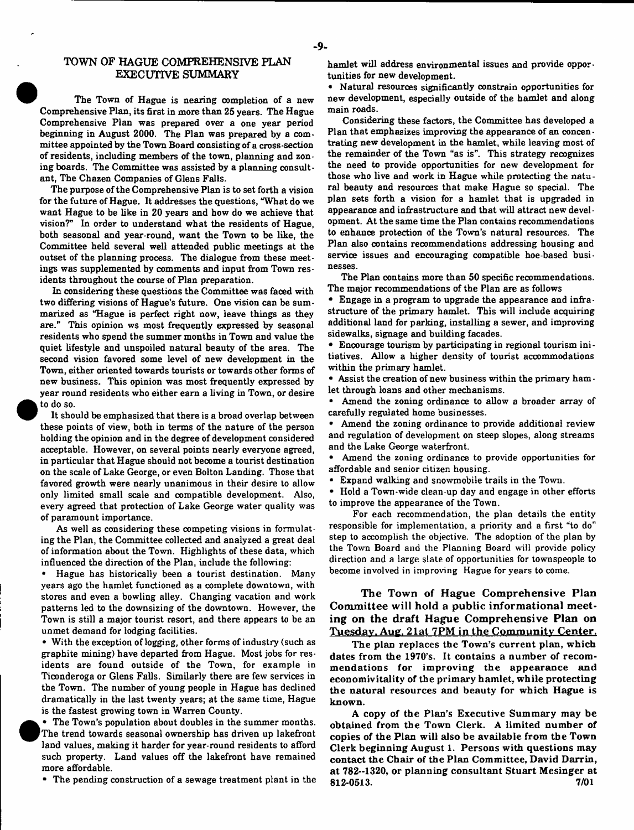#### TOWN OF HAGUE COMPREHENSIVE FLAN EXECUTIVE SUMMARY

The Town of Hague is nearing completion of a new Comprehensive Plan, its first in more than 25 years. The Hague Comprehensive Plan was prepared over a one year period beginning in August 2000. The Plan was prepared by a committee appointed by the Town Board consisting of a cross-section of residents, including members of the town, planning and zoning boards. The Committee was assisted by a planning consultant, The Chazen Companies of Glens Falls.

The purpose of the Comprehensive Plan is to set forth a vision for the future of Hague. It addresses the questions, "What do we want Hague to be like in 20 years and how do we achieve that vision?" In order to understand what the residents of Hague, both seasonal and year-round, want the Town to be like, the Committee held several well attended public meetings at the outset of the planning process. The dialogue from these meetings was supplemented by comments and input from Town residents throughout the course of Plan preparation.

In considering these questions the Committee was faced with two differing visions of Hague's future. One vision can be summarized as "Hague is perfect right now, leave things as they are." This opinion ws most frequently expressed by seasonal residents who spend the summer months in Town and value the quiet lifestyle and unspoiled natural beauty of the area. The second vision favored some level of new development in the Town, either oriented towards tourists or towards other forms of new business. This opinion was most frequently expressed by year round residents who either earn a living in Town, or desire to do so.

It should be emphasized that there is a broad overlap between these points of view, both in terms of the nature of the person holding the opinion and in the degree of development considered acceptable. However, on several points nearly everyone agreed, in particular that Hague should not become a tourist destination on the scale of Lake George, or even Bolton Landing. Those that favored growth were nearly unanimous in their desire to allow only limited small scale and compatible development. Also, every agreed that protection of Lake George water quality was of paramount importance.

As well as considering these competing visions in formulating the Plan, the Committee collected and analyzed a great deal of information about the Town. Highlights of these data, which influenced the direction of the Plan, include the following:

Hague has historically been a tourist destination. Many years ago the hamlet functioned as a complete downtown, with stores and even a bowling alley. Changing vacation and work patterns led to the downsizing of the downtown. However, the Town is still a major tourist resort, and there appears to be an unmet demand for lodging facilities.

• With the exception of logging, other forms of industry (such as graphite mining) have departed from Hague. Most jobs for residents are found outside of the Town, for example in Ticonderoga or Glens Falls. Similarly there are few services in the Town. The number of young people in Hague has declined dramatically in the last twenty years; at the same time, Hague is the fastest growing town in Warren County.

• The Town's population about doubles in the summer months. The trend towards seasonal ownership has driven up lakefront land values, making it harder for year-round residents to afford such property. Land values off the lakefront have remained more affordable.

• The pending construction of a sewage treatment plant in the

hamlet will address environmental issues and provide opportunities for new development.

\* Natural resources significantly oonstrain opportunities for new development, especially outside of the hamlet and along main roads.

Considering these factors, the Committee has developed a Plan that emphasizes improving the appearance of an concentrating new development in the hamlet, while leaving most of the remainder of the Town "as is". This strategy recognizes the need to provide opportunities for new development for those who live and work in Hague while protecting the natu ral beauty and resources that make Hague so special. The plan sets forth a vision for a hamlet that is upgraded in appearance and infrastructure and that will attract new development. At the same time the Plan contains recommendations to enhance protection of the Town's natural resources. The Plan also contains recommendations addressing housing and service issues and encouraging compatible hoe-based businesses.

The Plan contains more than 50 specific recommendations. The major recommendations of the Plan are as follows

\* Engage in a program to upgrade the appearance and infra structure of the primary hamlet. This will include acquiring additional land for parking, installing a sewer, and improving sidewalks, signage and building facades.

\* Encourage tourism by participating in regional tourism initiatives. Allow a higher density of tourist accommodations within the primary hamlet.

• Assist the creation of new business within the primary ham let through loans and other mechanisms.

\* Amend the zoning ordinance to allow a broader array of carefully regulated home businesses.

• Amend the zoning ordinance to provide additional review and regulation of development on steep slopes, along streams and the Lake George waterfront.

• Amend the zoning ordinance to provide opportunities for affordable and senior citizen housing.

Expand walking and snowmobile trails in the Town.

• Hold a Town-wide clean-up day and engage in other efforts to improve the appearance of the Town.

For each recommendation, the plan details the entity responsible for implementation, a priority and a first "to do" step to accomplish the objective. The adoption of the plan by the Town Board and the Planning Board will provide policy direction and a large slate of opportunities for townspeople to become involved in improving Hague for years to come.

The Town of Hague Comprehensive Plan Committee will hold a public informational meeting on the draft Hague Comprehensive Plan on Tuesday, Aug. 21 at 7PM in the Community Center.

The plan replaces the Town's current plan, which dates from the 1970's. It contains a number of recommendations for improving the appearance and economivitality of the primary hamlet, while protecting the natural resources and beauty for which Hague is known.

A copy of the Plan's Executive Summary may be obtained from the Town Clerk. A limited number of copies of the Plan will also be available from the Town Clerk beginning August 1. Persons with questions may contact the Chair of the Plan Committee, David Darrin, at 782--1320, or planning consultant Stuart Mesinger at 812-0513. 7/01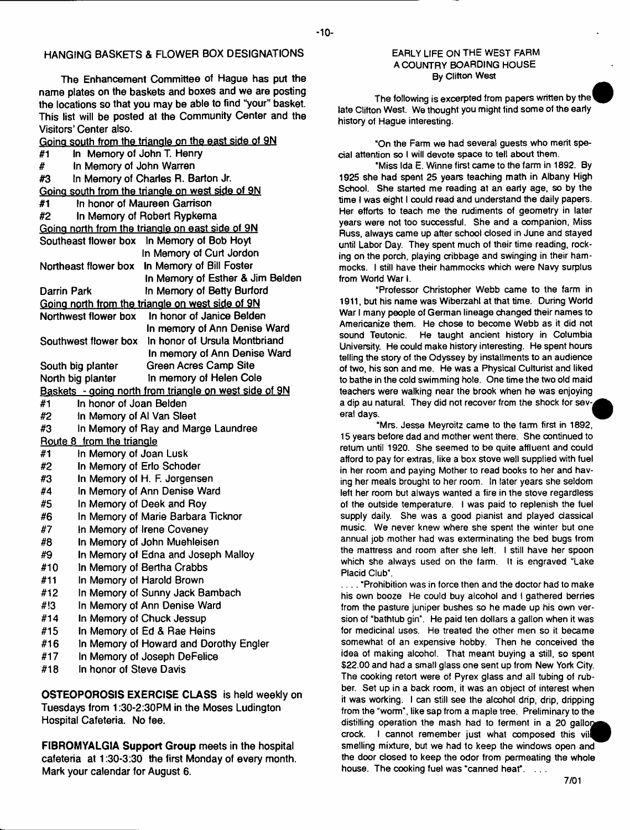## **HANGING BASKETS & FLOWER BOX DESIGNATIONS**

**The Enhancement Committee of Hague has put the name plates on the baskets and boxes and we are posting the locations so that you may be able to find "your" basket. This list will be posted at the Community Center and the Visitors' Center also.**

**Going south from the triangle on the east side of 9N #1 In Memory of John T. Henry # In Memory of John Warren #3 In Memory of Charles R. Barton Jr. Going south from the triangle on west side of 9N #1 In honor of Maureen Garrison #2 In Memory of Robert Rypkema Going north from the triangle on east side of 9N Southeast flower box In Memory ol Bob Hoyt In Memory of Curt Jordon In Memory of Bill Foster Northeast flower box In Memory of Esther & Jim Belden In Memory of Betty Burford Going north from the triangle on west side of 9N Northwest flower box In honor of Janice Belden In memory of Ann Denise Ward In honor of Ursula Montbriand Southwest flower box In memory of Ann Denise Ward Green Acres Camp Site In memory of Helen Cole Darrin Park South big planter North big planter Baskets - going north from triangle on west side of 9N #1 In** #2 In Memory of AI Van Sleet #3 In Memory of Ray and Marge Laundree **Route 8 from the triangle** #1 In Memory of Joan Lusk **#2 In #3 In** #4 In Memory of Ann Denise Ward **#5 In #6 In #7 In #8** In Memory of John Muehleisen<br>**#9** In Memory of Edna and Joseph Malloy **#9 In** #10 **In Memory of Bertha Crabbs**<br>#11 **In Memory of Harold Brown #11 In** #12 In Memory of Sunny Jack Bambach **#!3 In #14 In #15 In** #16 **In Memory of Howard and Dorothy Engler** #17 In Memory of Joseph DeFelice **#18 In**

**OSTEOPOROSIS EXERCISE CLASS is held weekly on Tuesdays from 1:30-2:30PM in the Moses Ludington Hospital Cafeteria. No fee.**

**FIBROMYALGIA Support Group meets in the hospital cafeteria at 1:30-3:30 the first Monday of every month. Mark your calendar for August 6.**

#### EARLY LIFE ON THE WEST FARM A COUNTRY BOARDING HOUSE By Clifton West

The following is excerpted from papers written by the' late Clifton West. We thought you might find some of the early history of Hague interesting.

"On the Farm we had several guests who merit special attention so I will devote space to tell about them.

"Miss Ida E. Wtnne first came to the farm in 1892. By 1925 she had spent 25 years teaching math in Albany High School. She started me reading at an early age, so by the time I was eight I could read and understand the daily papers. Her efforts to teach me the rudiments of geometry in later years were not too successful. She and a companion, Miss Russ, always came up after school closed in June and stayed until Labor Day. They spent much of their time reading, rocking on the porch, playing cribbage and swinging in their hammocks. I still have their hammocks which were Navy surplus from World War I.

"Professor Christopher Webb came to the farm in 1911, but his name was Wiberzahl at that time. During World War I many people of German lineage changed their names to Americanize them. He chose to become Webb as it did not sound Teutonic. He taught ancient history in Columbia University. He could make history interesting. He spent hours telling the story of the Odyssey by installments to an audience of two, his son and me. He was a Physical Culturist and liked to bathe in the cold swimming hole. One time the two old maid teachers were walking near the brook when he was enjoying a dip au natural. They did not recover from the shock for several days.

"Mrs. Jesse Meyroitz came to the farm first in 1892, 15 years before dad and mother went there. She continued to return until 1920. She seemed to be quite affluent and could afford to pay for extras, like a box stove well supplied with fuel in her room and paying Mother to read books to her and having her meals brought to her room. In later years she seldom left her room but always wanted a fire in the stove regardless of the outside temperature. I was paid to replenish the fuel supply daily. She was a good pianist and played classical music. We never knew where she spent the winter but one annual job mother had was exterminating the bed bugs from the mattress and room after she left. I still have her spoon which she always used on the farm. It is engraved "Lake Placid Club".

.... "Prohibition was in force then and the doctor had to make his own booze He could buy alcohol and I gathered berries from the pasture juniper bushes so he made up his own version of "bathtub gin". He paid ten dollars a gallon when it was for medicinal uses. He treated the other men so it became somewhat of an expensive hobby. Then he conceived the idea of making alcohol. That meant buying a still, so spent \$22.00 and had a small glass one sent up from New York City. The cooking retort were of Pyrex glass and all tubing of rubber. Set up in a back room, it was an object of interest when it was working. I can still see the alcohol drip, drip, dripping from the "worm", like sap from a maple tree. Preliminary to the distilling operation the mash had to ferment in a 20 gallon crock. I cannot remember just what composed this vil smelling mixture, but we had to keep the windows open and the door closed to keep the odor from permeating the whole house. The cooking fuel was "canned heat". ...

#### - 10-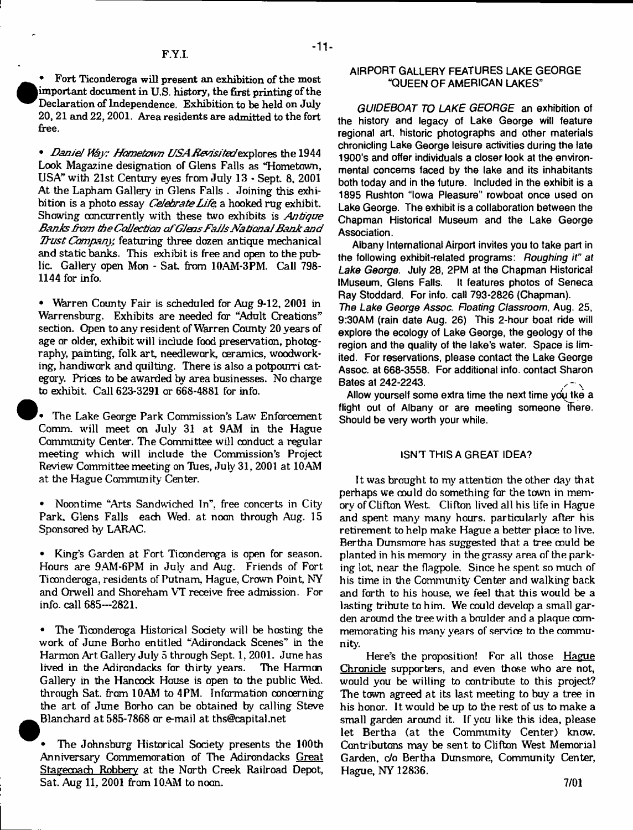• Fort Ticonderoga will present an exhibition of the most important document in U.S. history, the first printing of the Declaration of Independence. Exhibition to be held on July 20, 21 and 22, 2001. Area residents are admitted to the fort free.

• *Daniel Way: Hometown USA Revisited* explores the 1944 Look Magazine designation of Glens Falls as 'Hometown, USA" with 21st Century eyes from July 13 - Sept. 8, 2001 At the Lapham Gallery in Glens Falls . Joining this exhibition is a photo essay *Celebrate L ife,* a hooked rug exhibit. Showing concurrently with these two exhibits is *Antique B anks from the Collection ofG lens F ails N ational B ank and Thirst Company;* featuring three dozen antique mechanical and static banks. This exhibit is free and open to the public. Gallery open Mon - Sat. from 10AM-3PM. Call 798-1144 for info.

• Whrren County Fair is scheduled for Aug 9-12, 2001 in Warrensburg. Exhibits are needed for "Adult Creations" section. Open to any resident of Warren County 20 years of age or older, exhibit will include food preservation, photography, painting, folk art, needlework, ceramics, woodworking, handiwork and quilting. There is also a potpourri category. Prices to be awarded by area businesses. No charge to exhibit. Call 623-3291 or 668-4881 for info.

The Lake George Park Commission's Law Enforcement Comm, will meet on July 31 at 9AM in the Hague Community Center. The Committee will conduct a regular meeting which will include the Commission's Project Review Committee meeting on Hies, duly 31, 2001 at 10.AM at the Hague Community Center.

• Noontime "Arts Sandwiched In", free concerts in City Park, Glens Falls each Wed. at noon through Aug. 15 Sponsored by LARAC.

• King's Garden at Fort Ticonderoga is open for season. Hours are 9AM-6PM in July and Aug. Friends of Fort Ticonderoga, residents of Putnam, Hague, Crown Point, NY and Orwell and Shoreham VT receive free admission. For info, call 685--2821.

• The Ticonderoga Historical Society will be hosting the work of June Borho entitled "Adirondack Scenes" in the Harmon Art Gallery July 5 through Sept. 1, 2001. June has<br>lived in the Adirondacks for thirty years. The Harmon lived in the Adirondacks for thirty years. Gallery in the Hancock House is open to the public Wed. through Sat. from 10AM to 4PM. Information concerning the art of June Borho can be obtained by calling Steve ^Blanchard at 585-7868 or e-mail at [ths@capital.net](mailto:ths@capital.net)

• The Johnsburg Historical Society presents the 100th Anniversary Commemoration of The Adirondacks Great Stagecoach Robbery at the North Creek Railroad Depot, Sat. Aug 11, 2001 from 10AM to noon.

#### **AIRPORT GALLERY FEATURES LAKE GEORGE "QUEEN OF AMERICAN LAKES"**

*GUIDEBOAT TO LAKE GEORGE* **an exhibition of the history and legacy of Lake George will feature regional art, historic photographs and other materials chronicling Lake George leisure activities during the late 1900's and offer individuals a closer look at the environmental concerns faced by the lake and its inhabitants both today and in the future. Included in the exhibit is a 1895 Rushton "Iowa Pleasure" rowboat once used on Lake George. The exhibit is a collaboration between the Chapman Historical Museum and the Lake George Association.**

**Albany International Airport invites you to take part in the following exhibit-related programs:** *Roughing it" at Lake George.* **July 28, 2PM at the Chapman Historical IMuseum, Glens Falls. It features photos of Seneca Ray Stoddard. For info, call 793-2826 (Chapman).** *The Lake George Assoc. Floating Classroom,* **Aug. 25, 9:30AM (rain date Aug. 26) This 2-hour boat ride will explore the ecology of Lake George, the geology of the region and the quality of the lake's water. Space is limited. For reservations, please contact the Lake George Assoc, at 668-3558. For additional info, contact Sharon Bates at 242-2243.**

Allow yourself some extra time the next time you tke a **flight out of Albany or are meeting someone there. Should be very worth your while.**

#### **ISNT THIS A GREAT IDEA?**

It was brought to my attention the other day that perhaps we oould do something for the town in memory of Clifton West. Clifton lived all his life in Hague and spent many many hours, particularly after his retirement to help make Hague a better place to live. Bertha Dunsmore has suggested that a tree could be planted in his memory in the grassy area of the parking lot, near the flagpole. Since he spent so much of his time in the Community Center and walking back and forth to his house, we feel that this would be a lasting tribute to him. We could develop a small garden around the tree with a boulder and a plaque commemorating his many years of service to the community.

Here's the proposition! For all those Hague Chronicle supporters, and even those who are not, would you be willing to contribute to this project? The town agreed at its last meeting to buy a tree in his honor. It would be up to the rest of us to make a small garden around it. If you like this idea, please let Bertha (at the Community Center) know. Cantributons may be sent to Clifton West Memorial Garden, *do* Bertha Dunsmore, Community Center, Hague, NY 12836.